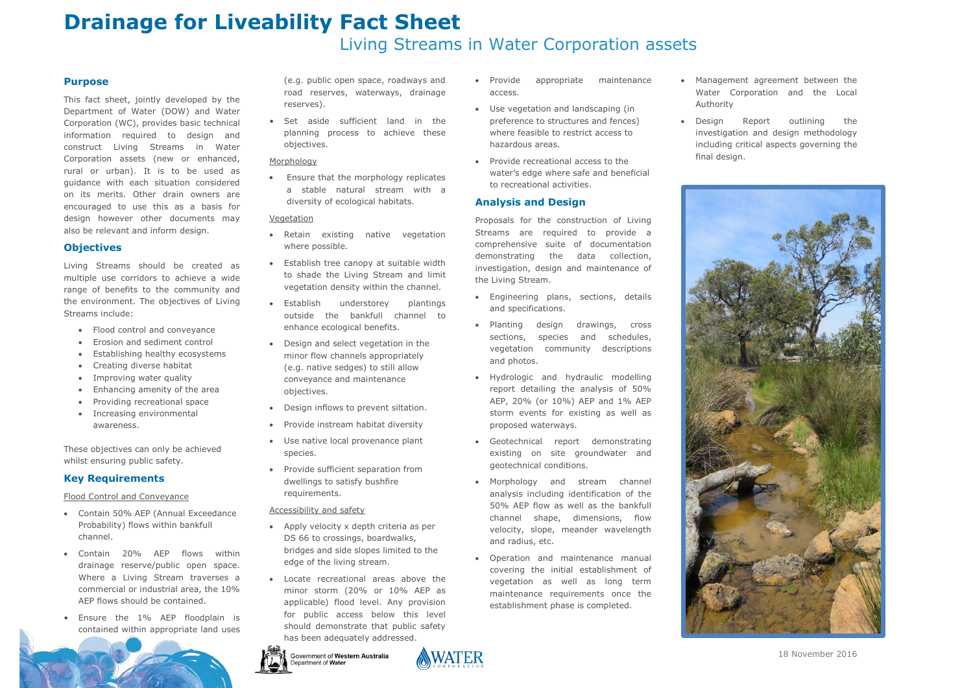# **Drainage for Liveability Fact Sheet**  Living Streams in Water Corporation assets

18 November 2016

## **Purpose**

This fact sheet, jointly developed by the Department of Water (DOW) and Water Corporation (WC), provides basic technical information required to design and construct Living Streams in Water Corporation assets (new or enhanced, rural or urban). It is to be used as guidance with each situation considered on its merits. Other drain owners are encouraged to use this as a basis for design however other documents may also be relevant and inform design.

- Flood control and conveyance
- Erosion and sediment control
- Establishing healthy ecosystems
- Creating diverse habitat
- Improving water quality
- Enhancing amenity of the area
- Providing recreational space
- Increasing environmental awareness.

# **Objectives**

Living Streams should be created as multiple use corridors to achieve a wide range of benefits to the community and the environment. The objectives of Living Streams include:

• Set aside sufficient land in the planning process to achieve these objectives.

#### Morphology

These objectives can only be achieved whilst ensuring public safety.

# **Key Requirements**

Flood Control and Conveyance

- Contain 50% AEP (Annual Exceedance Probability) flows within bankfull channel.
- Contain 20% AEP flows within drainage reserve/public open space. Where a Living Stream traverses a commercial or industrial area, the 10% AEP flows should be contained.
- Ensure the 1% AEP floodplain is contained within appropriate land uses

(e.g. public open space, roadways and road reserves, waterways, drainage reserves).

- Engineering plans, sections, details and specifications.
- Planting design drawings, cross sections, species and schedules, vegetation community descriptions and photos.
- Hydrologic and hydraulic modelling report detailing the analysis of 50% AEP, 20% (or 10%) AEP and 1% AEP storm events for existing as well as proposed waterways.
- Geotechnical report demonstrating existing on site groundwater and geotechnical conditions.
- Morphology and stream channel analysis including identification of the 50% AEP flow as well as the bankfull channel shape, dimensions, flow velocity, slope, meander wavelength and radius, etc.
- Operation and maintenance manual covering the initial establishment of vegetation as well as long term maintenance requirements once the establishment phase is completed.

 Ensure that the morphology replicates a stable natural stream with a diversity of ecological habitats. •

### <u>Vegetation</u>

- Retain existing native vegetation where possible.
- Establish tree canopy at suitable width to shade the Living Stream and limit vegetation density within the channel.
- Establish understorey plantings outside the bankfull channel to enhance ecological benefits.  $\bullet$
- Design and select vegetation in the minor flow channels appropriately (e.g. native sedges) to still allow conveyance and maintenance objectives.
- Design inflows to prevent siltation.
- Provide instream habitat diversity  $\bullet$
- Use native local provenance plant species.  $\bullet$
- Provide sufficient separation from dwellings to satisfy bushfire requirements.  $\bullet$

#### Accessibility and safety

- Apply velocity x depth criteria as per DS 66 to crossings, boardwalks, bridges and side slopes limited to the edge of the living stream.
- Locate recreational areas above the minor storm (20% or 10% AEP as applicable) flood level. Any provision for public access below this level should demonstrate that public safety has been adequately addressed.  $\bullet$



Government of Western Australia ent of **Water** 



- Provide appropriate maintenance access.
- Use vegetation and landscaping (in preference to structures and fences) where feasible to restrict access to hazardous areas.
- Provide recreational access to the water's edge where safe and beneficial to recreational activities.

# **Analysis and Design**

Proposals for the construction of Living Streams are required to provide a comprehensive suite of documentation demonstrating the data collection, investigation, design and maintenance of the Living Stream.

 Management agreement between the Water Corporation and the Local

 Design Report outlining the investigation and design methodology including critical aspects governing the

- Authority
- final design.